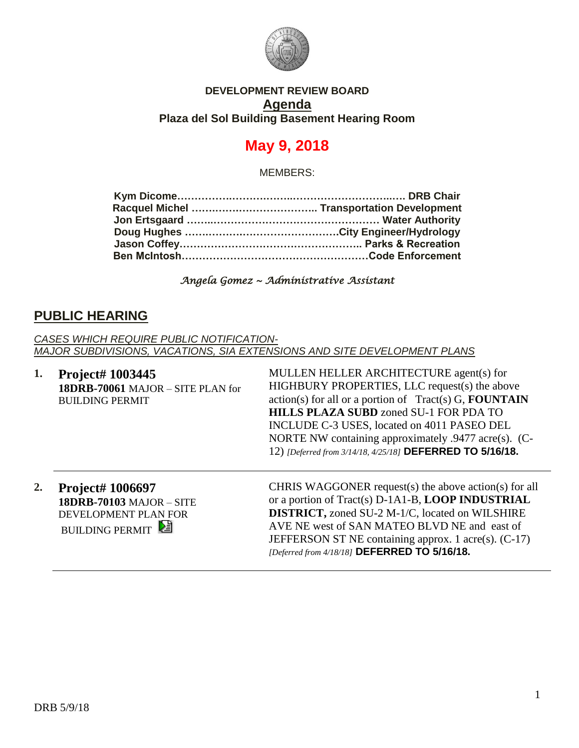

#### **DEVELOPMENT REVIEW BOARD Agenda Plaza del Sol Building Basement Hearing Room**

# **May 9, 2018**

MEMBERS:

*Angela Gomez ~ Administrative Assistant* 

### **PUBLIC HEARING**

*CASES WHICH REQUIRE PUBLIC NOTIFICATION-MAJOR SUBDIVISIONS, VACATIONS, SIA EXTENSIONS AND SITE DEVELOPMENT PLANS*

**1. Project# 1003445 18DRB-70061** MAJOR – SITE PLAN for BUILDING PERMIT

MULLEN HELLER ARCHITECTURE agent(s) for HIGHBURY PROPERTIES, LLC request(s) the above action(s) for all or a portion of Tract(s) G, **FOUNTAIN HILLS PLAZA SUBD** zoned SU-1 FOR PDA TO INCLUDE C-3 USES, located on 4011 PASEO DEL NORTE NW containing approximately .9477 acre(s). (C-12) *[Deferred from 3/14/18, 4/25/18]* **DEFERRED TO 5/16/18.**

**2. Project# 1006697 18DRB-70103** MAJOR – SITE DEVELOPMENT PLAN FOR **BUILDING PERMIT** 

CHRIS WAGGONER request(s) the above action(s) for all or a portion of Tract(s) D-1A1-B, **LOOP INDUSTRIAL DISTRICT,** zoned SU-2 M-1/C, located on WILSHIRE AVE NE west of SAN MATEO BLVD NE and east of JEFFERSON ST NE containing approx. 1 acre(s). (C-17) *[Deferred from 4/18/18]* **DEFERRED TO 5/16/18.**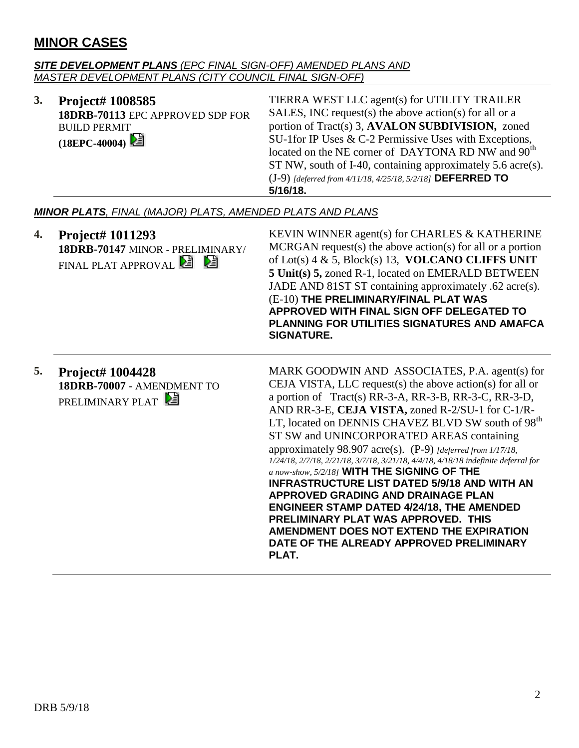## **MINOR CASES**

#### *SITE DEVELOPMENT PLANS (EPC FINAL SIGN-OFF) AMENDED PLANS AND MASTER DEVELOPMENT PLANS (CITY COUNCIL FINAL SIGN-OFF)*

| 3.                                                               | Project# 1008585<br>18DRB-70113 EPC APPROVED SDP FOR<br><b>BUILD PERMIT</b><br>$(18EPC-40004)$ | TIERRA WEST LLC agent(s) for UTILITY TRAILER<br>SALES, INC request(s) the above action(s) for all or a<br>portion of Tract(s) 3, AVALON SUBDIVISION, zoned<br>SU-1for IP Uses & C-2 Permissive Uses with Exceptions,<br>located on the NE corner of DAYTONA RD NW and 90 <sup>th</sup><br>ST NW, south of I-40, containing approximately 5.6 acre(s).<br>(J-9) [deferred from 4/11/18, 4/25/18, 5/2/18] DEFERRED TO<br>5/16/18.                                                                                                                                                                                                                                                                                                                                                                                                       |  |
|------------------------------------------------------------------|------------------------------------------------------------------------------------------------|---------------------------------------------------------------------------------------------------------------------------------------------------------------------------------------------------------------------------------------------------------------------------------------------------------------------------------------------------------------------------------------------------------------------------------------------------------------------------------------------------------------------------------------------------------------------------------------------------------------------------------------------------------------------------------------------------------------------------------------------------------------------------------------------------------------------------------------|--|
| <b>MINOR PLATS, FINAL (MAJOR) PLATS, AMENDED PLATS AND PLANS</b> |                                                                                                |                                                                                                                                                                                                                                                                                                                                                                                                                                                                                                                                                                                                                                                                                                                                                                                                                                       |  |
| 4.                                                               | Project# 1011293<br>18DRB-70147 MINOR - PRELIMINARY/<br>FINAL PLAT APPROVAL <sup>2</sup>       | KEVIN WINNER agent(s) for CHARLES & KATHERINE<br>$MCRGAN$ request(s) the above action(s) for all or a portion<br>of Lot(s) $4 \& 5$ , Block(s) 13, VOLCANO CLIFFS UNIT<br>5 Unit(s) 5, zoned R-1, located on EMERALD BETWEEN<br>JADE AND 81ST ST containing approximately .62 acre(s).<br>(E-10) THE PRELIMINARY/FINAL PLAT WAS<br>APPROVED WITH FINAL SIGN OFF DELEGATED TO<br>PLANNING FOR UTILITIES SIGNATURES AND AMAFCA<br><b>SIGNATURE.</b>                                                                                                                                                                                                                                                                                                                                                                                     |  |
| 5.                                                               | Project# 1004428<br>18DRB-70007 - AMENDMENT TO<br>PRELIMINARY PLAT                             | MARK GOODWIN AND ASSOCIATES, P.A. agent(s) for<br>CEJA VISTA, LLC request(s) the above action(s) for all or<br>a portion of Tract(s) RR-3-A, RR-3-B, RR-3-C, RR-3-D,<br>AND RR-3-E, CEJA VISTA, zoned R-2/SU-1 for C-1/R-<br>LT, located on DENNIS CHAVEZ BLVD SW south of 98 <sup>th</sup><br>ST SW and UNINCORPORATED AREAS containing<br>approximately 98.907 acre(s). (P-9) [deferred from 1/17/18,<br>1/24/18, 2/7/18, 2/21/18, 3/7/18, 3/21/18, 4/4/18, 4/18/18 indefinite deferral for<br>a now-show, 5/2/18] WITH THE SIGNING OF THE<br><b>INFRASTRUCTURE LIST DATED 5/9/18 AND WITH AN</b><br>APPROVED GRADING AND DRAINAGE PLAN<br><b>ENGINEER STAMP DATED 4/24/18, THE AMENDED</b><br>PRELIMINARY PLAT WAS APPROVED. THIS<br>AMENDMENT DOES NOT EXTEND THE EXPIRATION<br>DATE OF THE ALREADY APPROVED PRELIMINARY<br>PLAT. |  |